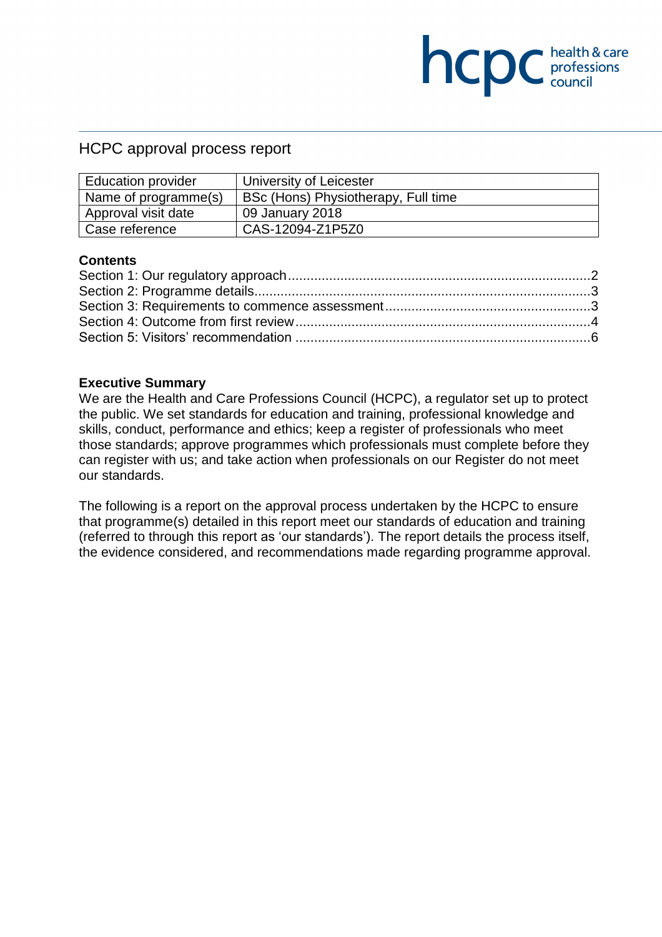## HCPC approval process report

| <b>Education provider</b> | University of Leicester             |
|---------------------------|-------------------------------------|
| Name of programme(s)      | BSc (Hons) Physiotherapy, Full time |
| Approval visit date       | 09 January 2018                     |
| Case reference            | CAS-12094-Z1P5Z0                    |

**COC** health & care

### **Contents**

#### **Executive Summary**

We are the Health and Care Professions Council (HCPC), a regulator set up to protect the public. We set standards for education and training, professional knowledge and skills, conduct, performance and ethics; keep a register of professionals who meet those standards; approve programmes which professionals must complete before they can register with us; and take action when professionals on our Register do not meet our standards.

The following is a report on the approval process undertaken by the HCPC to ensure that programme(s) detailed in this report meet our standards of education and training (referred to through this report as 'our standards'). The report details the process itself, the evidence considered, and recommendations made regarding programme approval.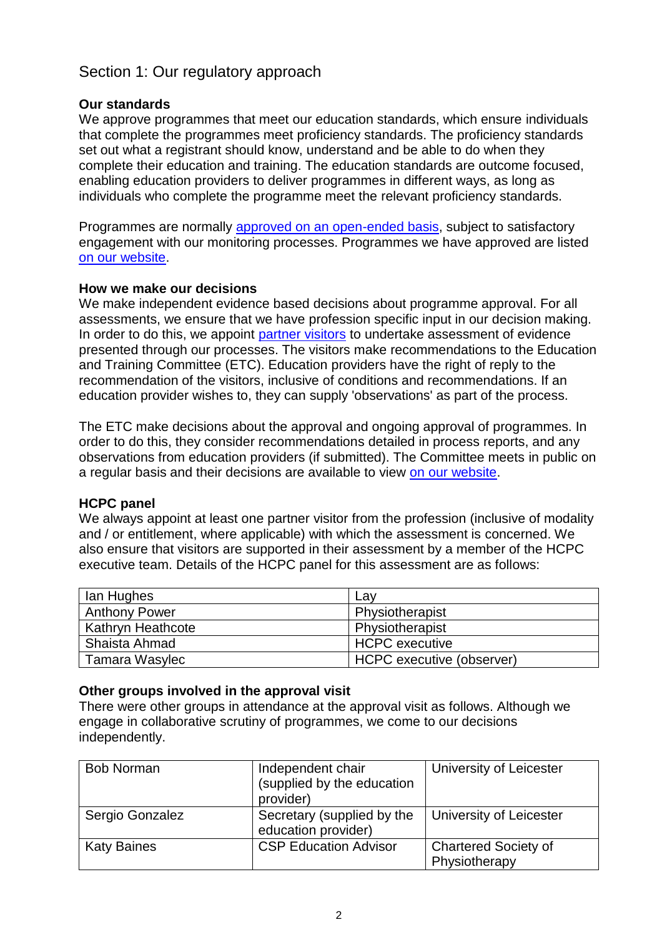# Section 1: Our regulatory approach

### **Our standards**

We approve programmes that meet our education standards, which ensure individuals that complete the programmes meet proficiency standards. The proficiency standards set out what a registrant should know, understand and be able to do when they complete their education and training. The education standards are outcome focused, enabling education providers to deliver programmes in different ways, as long as individuals who complete the programme meet the relevant proficiency standards.

Programmes are normally approved on an open-ended basis, subject to satisfactory engagement with our monitoring processes. Programmes we have approved are listed on our website.

### **How we make our decisions**

We make independent evidence based decisions about programme approval. For all assessments, we ensure that we have profession specific input in our decision making. In order to do this, we appoint partner visitors to undertake assessment of evidence presented through our processes. The visitors make recommendations to the Education and Training Committee (ETC). Education providers have the right of reply to the recommendation of the visitors, inclusive of conditions and recommendations. If an education provider wishes to, they can supply 'observations' as part of the process.

The ETC make decisions about the approval and ongoing approval of programmes. In order to do this, they consider recommendations detailed in process reports, and any observations from education providers (if submitted). The Committee meets in public on a regular basis and their decisions are available to view on our website.

### **HCPC panel**

We always appoint at least one partner visitor from the profession (inclusive of modality and / or entitlement, where applicable) with which the assessment is concerned. We also ensure that visitors are supported in their assessment by a member of the HCPC executive team. Details of the HCPC panel for this assessment are as follows:

| lan Hughes           | Lay                       |
|----------------------|---------------------------|
| <b>Anthony Power</b> | Physiotherapist           |
| Kathryn Heathcote    | Physiotherapist           |
| Shaista Ahmad        | HCPC executive            |
| Tamara Wasylec       | HCPC executive (observer) |

### **Other groups involved in the approval visit**

There were other groups in attendance at the approval visit as follows. Although we engage in collaborative scrutiny of programmes, we come to our decisions independently.

| <b>Bob Norman</b>  | Independent chair<br>(supplied by the education<br>provider) | University of Leicester                      |
|--------------------|--------------------------------------------------------------|----------------------------------------------|
| Sergio Gonzalez    | Secretary (supplied by the<br>education provider)            | University of Leicester                      |
| <b>Katy Baines</b> | <b>CSP Education Advisor</b>                                 | <b>Chartered Society of</b><br>Physiotherapy |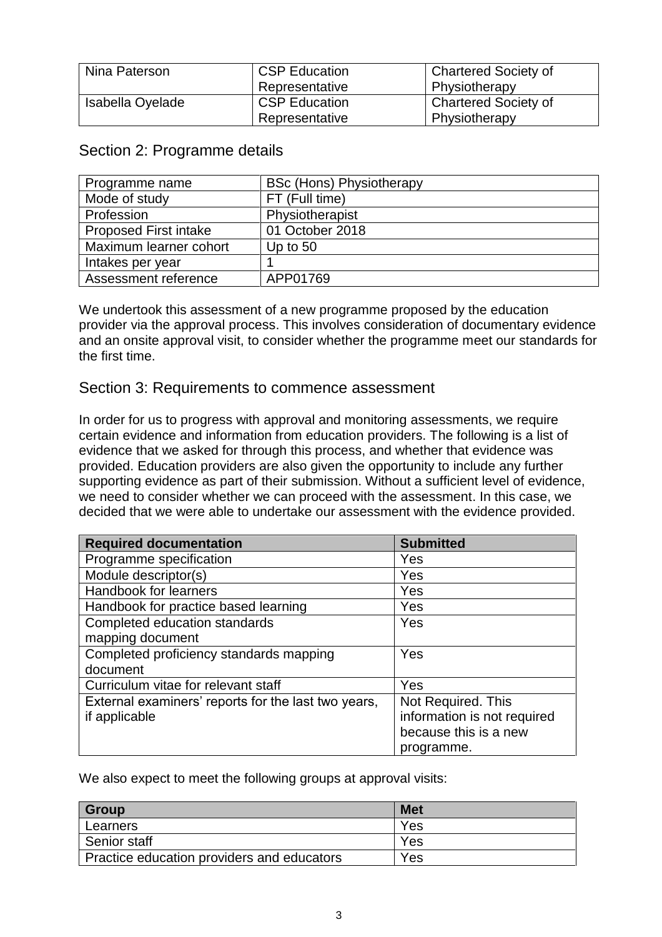| Nina Paterson    | <b>CSP Education</b> | <b>Chartered Society of</b> |
|------------------|----------------------|-----------------------------|
|                  | Representative       | Physiotherapy               |
| Isabella Oyelade | <b>CSP Education</b> | <b>Chartered Society of</b> |
|                  | Representative       | Physiotherapy               |

## Section 2: Programme details

| Programme name               | <b>BSc (Hons) Physiotherapy</b> |
|------------------------------|---------------------------------|
| Mode of study                | FT (Full time)                  |
| Profession                   | Physiotherapist                 |
| <b>Proposed First intake</b> | 01 October 2018                 |
| Maximum learner cohort       | Up to $50$                      |
| Intakes per year             |                                 |
| Assessment reference         | APP01769                        |

We undertook this assessment of a new programme proposed by the education provider via the approval process. This involves consideration of documentary evidence and an onsite approval visit, to consider whether the programme meet our standards for the first time.

## Section 3: Requirements to commence assessment

In order for us to progress with approval and monitoring assessments, we require certain evidence and information from education providers. The following is a list of evidence that we asked for through this process, and whether that evidence was provided. Education providers are also given the opportunity to include any further supporting evidence as part of their submission. Without a sufficient level of evidence, we need to consider whether we can proceed with the assessment. In this case, we decided that we were able to undertake our assessment with the evidence provided.

| <b>Required documentation</b>                       | <b>Submitted</b>            |
|-----------------------------------------------------|-----------------------------|
| Programme specification                             | Yes                         |
| Module descriptor(s)                                | Yes                         |
| Handbook for learners                               | Yes                         |
| Handbook for practice based learning                | Yes                         |
| Completed education standards                       | Yes                         |
| mapping document                                    |                             |
| Completed proficiency standards mapping             | Yes                         |
| document                                            |                             |
| Curriculum vitae for relevant staff                 | Yes                         |
| External examiners' reports for the last two years, | Not Required. This          |
| if applicable                                       | information is not required |
|                                                     | because this is a new       |
|                                                     | programme.                  |

We also expect to meet the following groups at approval visits:

| <b>Group</b>                               | <b>Met</b> |
|--------------------------------------------|------------|
| Learners                                   | Yes        |
| Senior staff                               | Yes        |
| Practice education providers and educators | Yes        |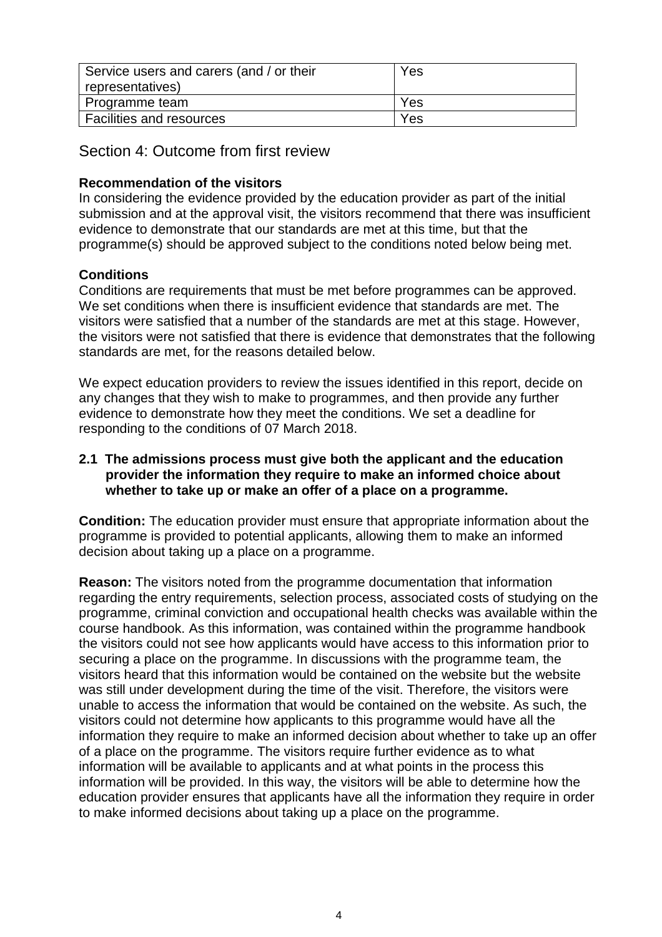| Service users and carers (and / or their | Yes |
|------------------------------------------|-----|
| representatives)                         |     |
| Programme team                           | Yes |
| <b>Facilities and resources</b>          | Yes |

Section 4: Outcome from first review

## **Recommendation of the visitors**

In considering the evidence provided by the education provider as part of the initial submission and at the approval visit, the visitors recommend that there was insufficient evidence to demonstrate that our standards are met at this time, but that the programme(s) should be approved subject to the conditions noted below being met.

### **Conditions**

Conditions are requirements that must be met before programmes can be approved. We set conditions when there is insufficient evidence that standards are met. The visitors were satisfied that a number of the standards are met at this stage. However, the visitors were not satisfied that there is evidence that demonstrates that the following standards are met, for the reasons detailed below.

We expect education providers to review the issues identified in this report, decide on any changes that they wish to make to programmes, and then provide any further evidence to demonstrate how they meet the conditions. We set a deadline for responding to the conditions of 07 March 2018.

### **2.1 The admissions process must give both the applicant and the education provider the information they require to make an informed choice about whether to take up or make an offer of a place on a programme.**

**Condition:** The education provider must ensure that appropriate information about the programme is provided to potential applicants, allowing them to make an informed decision about taking up a place on a programme.

**Reason:** The visitors noted from the programme documentation that information regarding the entry requirements, selection process, associated costs of studying on the programme, criminal conviction and occupational health checks was available within the course handbook. As this information, was contained within the programme handbook the visitors could not see how applicants would have access to this information prior to securing a place on the programme. In discussions with the programme team, the visitors heard that this information would be contained on the website but the website was still under development during the time of the visit. Therefore, the visitors were unable to access the information that would be contained on the website. As such, the visitors could not determine how applicants to this programme would have all the information they require to make an informed decision about whether to take up an offer of a place on the programme. The visitors require further evidence as to what information will be available to applicants and at what points in the process this information will be provided. In this way, the visitors will be able to determine how the education provider ensures that applicants have all the information they require in order to make informed decisions about taking up a place on the programme.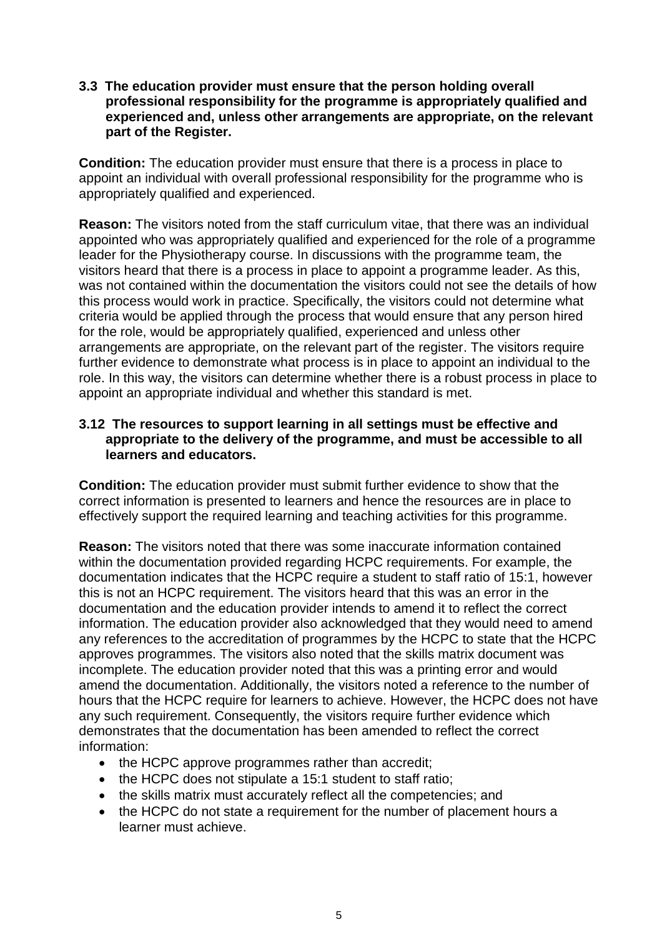**3.3 The education provider must ensure that the person holding overall professional responsibility for the programme is appropriately qualified and experienced and, unless other arrangements are appropriate, on the relevant part of the Register.**

**Condition:** The education provider must ensure that there is a process in place to appoint an individual with overall professional responsibility for the programme who is appropriately qualified and experienced.

**Reason:** The visitors noted from the staff curriculum vitae, that there was an individual appointed who was appropriately qualified and experienced for the role of a programme leader for the Physiotherapy course. In discussions with the programme team, the visitors heard that there is a process in place to appoint a programme leader. As this, was not contained within the documentation the visitors could not see the details of how this process would work in practice. Specifically, the visitors could not determine what criteria would be applied through the process that would ensure that any person hired for the role, would be appropriately qualified, experienced and unless other arrangements are appropriate, on the relevant part of the register. The visitors require further evidence to demonstrate what process is in place to appoint an individual to the role. In this way, the visitors can determine whether there is a robust process in place to appoint an appropriate individual and whether this standard is met.

### **3.12 The resources to support learning in all settings must be effective and appropriate to the delivery of the programme, and must be accessible to all learners and educators.**

**Condition:** The education provider must submit further evidence to show that the correct information is presented to learners and hence the resources are in place to effectively support the required learning and teaching activities for this programme.

**Reason:** The visitors noted that there was some inaccurate information contained within the documentation provided regarding HCPC requirements. For example, the documentation indicates that the HCPC require a student to staff ratio of 15:1, however this is not an HCPC requirement. The visitors heard that this was an error in the documentation and the education provider intends to amend it to reflect the correct information. The education provider also acknowledged that they would need to amend any references to the accreditation of programmes by the HCPC to state that the HCPC approves programmes. The visitors also noted that the skills matrix document was incomplete. The education provider noted that this was a printing error and would amend the documentation. Additionally, the visitors noted a reference to the number of hours that the HCPC require for learners to achieve. However, the HCPC does not have any such requirement. Consequently, the visitors require further evidence which demonstrates that the documentation has been amended to reflect the correct information:

- the HCPC approve programmes rather than accredit;
- the HCPC does not stipulate a 15:1 student to staff ratio;
- the skills matrix must accurately reflect all the competencies; and
- the HCPC do not state a requirement for the number of placement hours a learner must achieve.